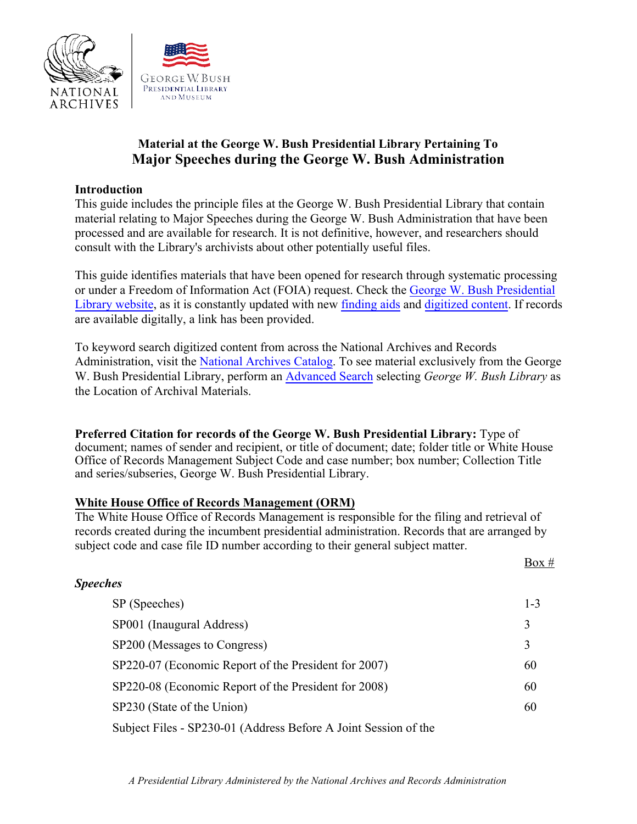

# **Material at the George W. Bush Presidential Library Pertaining To Major Speeches during the George W. Bush Administration**

### **Introduction**

This guide includes the principle files at the George W. Bush Presidential Library that contain material relating to Major Speeches during the George W. Bush Administration that have been processed and are available for research. It is not definitive, however, and researchers should consult with the Library's archivists about other potentially useful files.

This guide identifies materials that have been opened for research through systematic processing or under a Freedom of Information Act (FOIA) request. Check the [George W. Bush Presidential](https://www.georgewbushlibrary.gov/) [Library website,](https://www.georgewbushlibrary.gov/) as it is constantly updated with new [finding aids](https://www.georgewbushlibrary.gov/research/finding-aids) and [digitized content.](https://www.georgewbushlibrary.gov/research/records-search) If records are available digitally, a link has been provided.

To keyword search digitized content from across the National Archives and Records Administration, visit the [National Archives Catalog.](https://catalog.archives.gov/) To see material exclusively from the George W. Bush Presidential Library, perform an [Advanced Search](https://catalog.archives.gov/advancedsearch) selecting *George W. Bush Library* as the Location of Archival Materials.

**Preferred Citation for records of the George W. Bush Presidential Library:** Type of document; names of sender and recipient, or title of document; date; folder title or White House Office of Records Management Subject Code and case number; box number; Collection Title and series/subseries, George W. Bush Presidential Library.

### **White House Office of Records Management (ORM)**

The White House Office of Records Management is responsible for the filing and retrieval of records created during the incumbent presidential administration. Records that are arranged by subject code and case file ID number according to their general subject matter.

 $Box #$ 

| <b>Speeches</b>                                                 |         |
|-----------------------------------------------------------------|---------|
| SP (Speeches)                                                   | $1 - 3$ |
| SP001 (Inaugural Address)                                       | 3       |
| SP200 (Messages to Congress)                                    | 3       |
| SP220-07 (Economic Report of the President for 2007)            | 60      |
| SP220-08 (Economic Report of the President for 2008)            | 60      |
| SP230 (State of the Union)                                      | 60      |
| Subject Files - SP230-01 (Address Before A Joint Session of the |         |

*A Presidential Library Administered by the National Archives and Records Administration*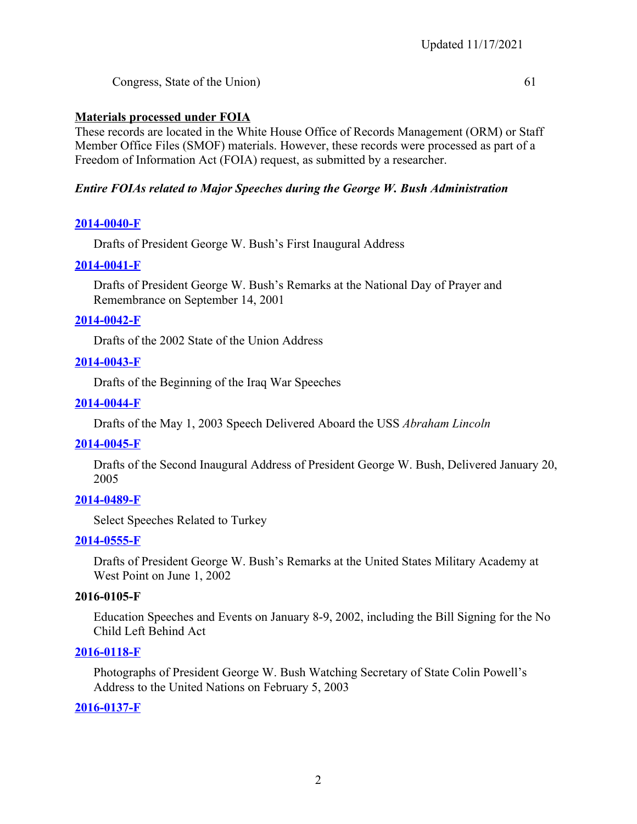Congress, State of the Union) 61

### **Materials processed under FOIA**

These records are located in the White House Office of Records Management (ORM) or Staff Member Office Files (SMOF) materials. However, these records were processed as part of a Freedom of Information Act (FOIA) request, as submitted by a researcher.

## *Entire FOIAs related to Major Speeches during the George W. Bush Administration*

### **[2014-0040-F](https://www.georgewbushlibrary.gov/research/finding-aids/foia-requests/2014-0040-f-drafts-president-george-w-bushs-first-inaugural-address)**

Drafts of President George W. Bush's First Inaugural Address

### **[2014-0041-F](https://www.georgewbushlibrary.gov/research/finding-aids/foia-requests/2014-0041-f-drafts-president-george-w-bushs-remarks-national-day-prayer-and-remembrance-september-14)**

Drafts of President George W. Bush's Remarks at the National Day of Prayer and Remembrance on September 14, 2001

### **[2014-0042-F](https://www.georgewbushlibrary.gov/research/finding-aids/foia-requests/2014-0042-f-drafts-2002-state-union-address)**

Drafts of the 2002 State of the Union Address

### **[2014-0043-F](https://www.georgewbushlibrary.gov/research/finding-aids/foia-requests/2014-0043-f-drafts-beginning-iraq-war-speeches)**

Drafts of the Beginning of the Iraq War Speeches

### **[2014-0044-F](https://www.georgewbushlibrary.gov/research/finding-aids/foia-requests/2014-0044-f-drafts-may-1-2003-speech-delivered-aboard-uss-abraham-lincoln)**

Drafts of the May 1, 2003 Speech Delivered Aboard the USS *Abraham Lincoln*

### **[2014-0045-F](https://www.georgewbushlibrary.gov/research/finding-aids/foia-requests/2014-0045-f-drafts-second-inaugural-address-president-george-w-bush-delivered-january-20-2005)**

Drafts of the Second Inaugural Address of President George W. Bush, Delivered January 20, 2005

### **[2014-0489-F](https://www.georgewbushlibrary.gov/research/finding-aids/foia-requests/2014-0489-f-select-speeches-related-turkey)**

Select Speeches Related to Turkey

### **[2014-0555-F](https://www.georgewbushlibrary.gov/research/finding-aids/foia-requests/2014-0555-f-drafts-of-president-george-w-bush-remark-at-the-united-states-military-academy-at-west-point-on-june-1-2002)**

Drafts of President George W. Bush's Remarks at the United States Military Academy at West Point on June 1, 2002

### **2016-0105-F**

Education Speeches and Events on January 8-9, 2002, including the Bill Signing for the No Child Left Behind Act

### **[2016-0118-F](https://catalog.archives.gov/search?q=%222016-0118-F%22&f.oldScope=(descriptions%20or%20online)&f.locationIds=53&SearchType=advanced#.X1ACQNbTBKM.link)**

Photographs of President George W. Bush Watching Secretary of State Colin Powell's Address to the United Nations on February 5, 2003

### **[2016-0137-F](https://www.georgewbushlibrary.gov/research/finding-aids/foia-requests/2016-0137-f-records-president-george-w-bushs-address-nation-terrorist-attacks-september-11-2001)**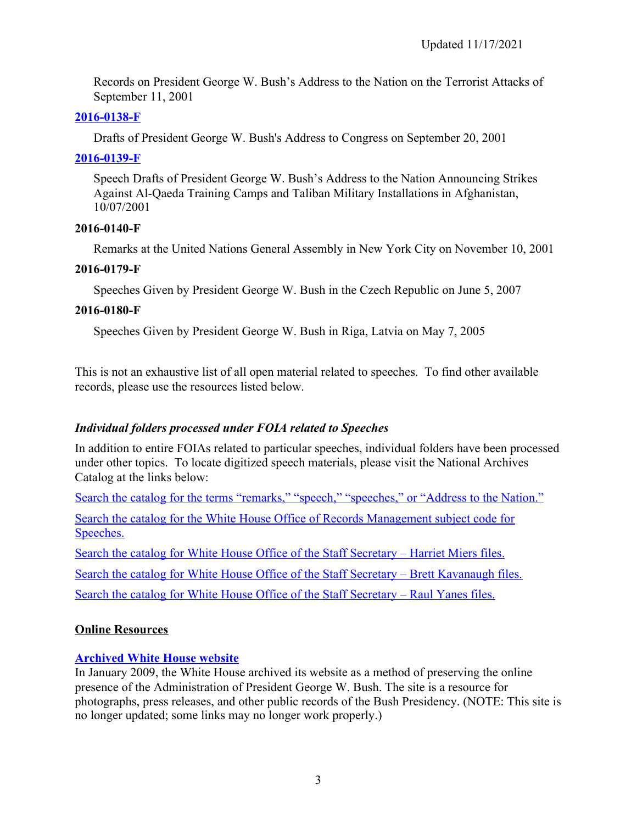Records on President George W. Bush's Address to the Nation on the Terrorist Attacks of September 11, 2001

# **[2016-0138-F](https://www.georgewbushlibrary.gov/research/finding-aids/foia-requests/2016-0138-f-speech-drafts-president-george-w-bushs-address-congress-september-20-2001)**

Drafts of President George W. Bush's Address to Congress on September 20, 2001

## **[2016-0139-F](https://www.georgewbushlibrary.gov/research/finding-aids/foia-requests/2016-0139-f-speech-drafts-president-george-w-bushs-address-nation-announcing-strikes-against-al)**

Speech Drafts of President George W. Bush's Address to the Nation Announcing Strikes Against Al-Qaeda Training Camps and Taliban Military Installations in Afghanistan, 10/07/2001

## **2016-0140-F**

Remarks at the United Nations General Assembly in New York City on November 10, 2001

## **2016-0179-F**

Speeches Given by President George W. Bush in the Czech Republic on June 5, 2007

## **2016-0180-F**

Speeches Given by President George W. Bush in Riga, Latvia on May 7, 2005

This is not an exhaustive list of all open material related to speeches. To find other available records, please use the resources listed below.

# *Individual folders processed under FOIA related to Speeches*

In addition to entire FOIAs related to particular speeches, individual folders have been processed under other topics. To locate digitized speech materials, please visit the National Archives Catalog at the links below:

[Search the catalog for the terms "remarks," "speech," "speeches," or "Address to the Nation."](https://catalog.archives.gov/search?q=speech%20remarks%20speeches%20%22address%20to%20the%20nation%22&f.oldScope=(descriptions%20or%20online)&f.locationIds=53&SearchType=advanced#.X0_6mUEWym8.link)

[Search the catalog for the White House Office of Records Management subject code for](https://catalog.archives.gov/search?q=*:*&f.ancestorNaIds=5730674&sort=naIdSort%20asc#.X0_F9TGT-UY.link) [Speeches.](https://catalog.archives.gov/search?q=*:*&f.ancestorNaIds=5730674&sort=naIdSort%20asc#.X0_F9TGT-UY.link)

[Search the catalog for White House Office of the Staff Secretary – Harriet Miers files.](https://catalog.archives.gov/search?q=*:*&f.ancestorNaIds=6121297&sort=naIdSort%20asc#.X1FNFBDnOwh.link)

[Search the catalog for White House Office of the Staff Secretary – Brett Kavanaugh files.](https://catalog.archives.gov/search?q=*:*&f.ancestorNaIds=20947525&sort=naIdSort%20asc#.X1D7y3hIvmQ.link)

[Search the catalog for White House Office of the Staff Secretary – Raul Yanes files.](https://catalog.archives.gov/search?q=*:*&f.ancestorNaIds=7431680&sort=naIdSort%20asc#.X1D7y5QMq08.link)

# **Online Resources**

# **[Archived White House website](https://georgewbush-whitehouse.archives.gov/index.html)**

In January 2009, the White House archived its website as a method of preserving the online presence of the Administration of President George W. Bush. The site is a resource for photographs, press releases, and other public records of the Bush Presidency. (NOTE: This site is no longer updated; some links may no longer work properly.)